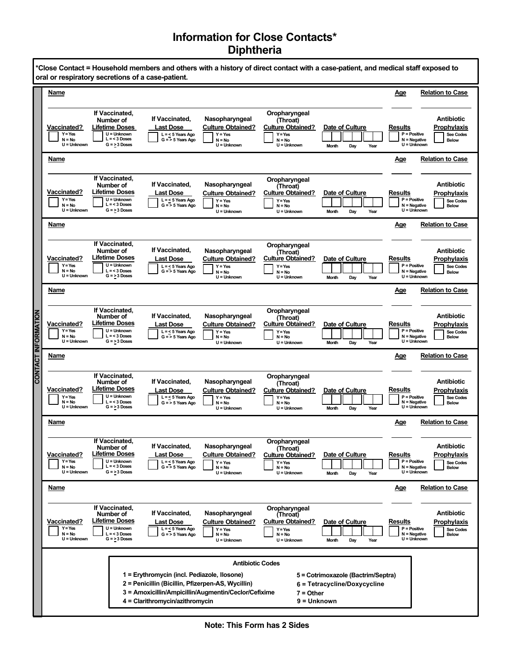## **Information for Close Contacts\* Diphtheria**

|                            | *Close Contact = Household members and others with a history of direct contact with a case-patient, and medical staff exposed to<br>oral or respiratory secretions of a case-patient.                                                                                                           |                                                                                                                    |                                                                                |                                                                                      |                                                                                                 |                                                |                                                                                                                  |                  |  |
|----------------------------|-------------------------------------------------------------------------------------------------------------------------------------------------------------------------------------------------------------------------------------------------------------------------------------------------|--------------------------------------------------------------------------------------------------------------------|--------------------------------------------------------------------------------|--------------------------------------------------------------------------------------|-------------------------------------------------------------------------------------------------|------------------------------------------------|------------------------------------------------------------------------------------------------------------------|------------------|--|
|                            | Name                                                                                                                                                                                                                                                                                            |                                                                                                                    |                                                                                |                                                                                      |                                                                                                 |                                                | <u>Age</u><br><b>Relation to Case</b>                                                                            |                  |  |
| <b>CONTACT INFORMATION</b> | <b>Vaccinated?</b><br>$Y = Yes$<br>$N = No$<br>$U =$ Unknown                                                                                                                                                                                                                                    | If Vaccinated,<br>Number of<br><b>Lifetime Doses</b><br>U = Unknown<br>$L = < 3$ Doses<br>$G = 3$ Doses            | If Vaccinated,<br><b>Last Dose</b><br>$L = < 5$ Years Ago<br>$G = 5$ Years Ago | Nasopharyngeal<br><b>Culture Obtained?</b><br>$Y = Yes$<br>$N = No$<br>U = Unknown   | Oropharyngeal<br>(Throat)<br><b>Culture Obtained?</b><br>$Y = Yes$<br>$N = No$<br>$U =$ Unknown | Date of Culture<br>Day<br><b>Month</b><br>Year | Antibiotic<br>Prophylaxis<br>Results<br>$P = Positive$<br>$N = Negative$<br><b>Below</b><br>U = Unknown          | <b>See Codes</b> |  |
|                            | Name                                                                                                                                                                                                                                                                                            |                                                                                                                    |                                                                                |                                                                                      |                                                                                                 |                                                | <b>Relation to Case</b><br><u>Age</u>                                                                            |                  |  |
|                            | <b>Vaccinated?</b><br>$Y = Yes$<br>$N = No$<br>$U =$ Unknown                                                                                                                                                                                                                                    | If Vaccinated,<br>Number of<br><b>Lifetime Doses</b><br>$U =$ Unknown<br>$L = 3$ Doses<br>$G = 3$ Doses            | If Vaccinated,<br><b>Last Dose</b><br>$L = < 5$ Years Ago<br>$G = 5$ Years Ago | Nasopharyngeal<br><b>Culture Obtained?</b><br>$Y = Yes$<br>N = No<br>$U =$ Unknown   | Oropharyngeal<br>(Throat)<br><b>Culture Obtained?</b><br>$Y = Yes$<br>$N = No$<br>$U =$ Unknown | Date of Culture<br><b>Month</b><br>Day<br>Year | <b>Antibiotic</b><br>Results<br>Prophylaxis<br>$P = Positive$<br>N = Negative<br><b>Below</b><br>U = Unknown     | <b>See Codes</b> |  |
|                            | Name                                                                                                                                                                                                                                                                                            |                                                                                                                    |                                                                                |                                                                                      |                                                                                                 |                                                | Age<br><b>Relation to Case</b>                                                                                   |                  |  |
|                            | <b>Vaccinated?</b><br>$Y = Yes$<br>$N = No$<br>$U =$ Unknown                                                                                                                                                                                                                                    | If Vaccinated.<br>Number of<br><b>Lifetime Doses</b><br>$\overline{U}$ = Unknown<br>$L = 3$ Doses<br>$G = 3$ Doses | If Vaccinated,<br><b>Last Dose</b><br>$L = < 5$ Years Ago<br>$G = 5$ Years Ago | Nasopharyngeal<br><b>Culture Obtained?</b><br>$Y = Yes$<br>$N = No$<br>$U =$ Unknown | Oropharyngeal<br>(Throat)<br><b>Culture Obtained?</b><br>$Y = Yes$<br>$N = No$<br>$U =$ Unknown | Date of Culture<br>Day<br><b>Month</b><br>Year | Antibiotic<br>Results<br>Prophylaxis<br>$P = Positive$<br>$N = Negative$<br><b>Below</b><br>U = Unknown          | <b>See Codes</b> |  |
|                            | Name                                                                                                                                                                                                                                                                                            |                                                                                                                    |                                                                                |                                                                                      |                                                                                                 |                                                | <b>Relation to Case</b><br>Age                                                                                   |                  |  |
|                            | <b>Vaccinated?</b><br>$Y = Yes$<br>$N = No$<br>$U =$ Unknown                                                                                                                                                                                                                                    | If Vaccinated,<br>Number of<br><b>Lifetime Doses</b><br>U = Unknown<br>$L = 3$ Doses<br>$G = 3$ Doses              | If Vaccinated,<br><b>Last Dose</b><br>$L = < 5$ Years Ago<br>$G = 5$ Years Ago | Nasopharyngeal<br><b>Culture Obtained?</b><br>$Y = Yes$<br>$N = No$<br>$U =$ Unknown | Oropharyngeal<br>(Throat)<br><b>Culture Obtained?</b><br>$Y = Yes$<br>$N = No$<br>$U =$ Unknown | Date of Culture<br><b>Month</b><br>Day<br>Year | Antibiotic<br>Results<br>Prophylaxis<br>P = Positive<br>$N = Negative$<br><b>Below</b><br>U = Unknown            | <b>See Codes</b> |  |
|                            | Name                                                                                                                                                                                                                                                                                            |                                                                                                                    |                                                                                |                                                                                      |                                                                                                 |                                                | Age<br><b>Relation to Case</b>                                                                                   |                  |  |
|                            | <b>Vaccinated?</b><br>$Y = Yes$<br>$N = No$<br>$U =$ Unknown                                                                                                                                                                                                                                    | If Vaccinated,<br>Number of<br><b>Lifetime Doses</b><br>$U =$ Unknown<br>$L = 3$ Doses<br>$G = 3$ Doses            | If Vaccinated,<br>Last Dose<br>$L = < 5$ Years Ago<br>$G = 5$ Years Ago        | Nasopharyngeal<br><b>Culture Obtained?</b><br>$Y = Yes$<br>$N = No$<br>$U =$ Unknown | Oropharyngeal<br>(Throat)<br><b>Culture Obtained?</b><br>$Y = Yes$<br>$N = No$<br>$U =$ Unknown | Date of Culture<br><b>Month</b><br>Day<br>Year | Antibiotic<br>Results<br>Prophylaxis<br>P = Positive<br>$N = Negative$<br><b>Below</b><br>$U =$ Unknown          | <b>See Codes</b> |  |
|                            | Name                                                                                                                                                                                                                                                                                            |                                                                                                                    |                                                                                |                                                                                      |                                                                                                 |                                                | Age<br><b>Relation to Case</b>                                                                                   |                  |  |
|                            | <b>Vaccinated?</b><br>$Y = Yes$<br>$N = No$<br>$U =$ Unknown                                                                                                                                                                                                                                    | If Vaccinated,<br>Number of<br><b>Lifetime Doses</b><br>U = Unknown<br>$L = < 3$ Doses<br>$G = 3$ Doses            | If Vaccinated,<br><b>Last Dose</b><br>$L = < 5$ Years Ago<br>$G = 5$ Years Ago | Nasopharyngeal<br><b>Culture Obtained?</b><br>$Y = Yes$<br>$N = No$<br>$U =$ Unknown | Oropharyngeal<br>(Throat)<br><b>Culture Obtained?</b><br>$Y = Yes$<br>$N = No$<br>$U =$ Unknown | Date of Culture<br>Day<br><b>Month</b><br>Year | <b>Antibiotic</b><br>Prophylaxis<br>Results<br>$P = Positive$<br>$N = Negative$<br><b>Below</b><br>$U =$ Unknown | <b>See Codes</b> |  |
|                            | Name                                                                                                                                                                                                                                                                                            |                                                                                                                    |                                                                                |                                                                                      |                                                                                                 |                                                | <u>Age</u><br><b>Relation to Case</b>                                                                            |                  |  |
|                            | <b>Vaccinated?</b><br>$Y = Yes$<br>$N = No$<br>$U =$ Unknown                                                                                                                                                                                                                                    | If Vaccinated,<br>Number of<br><b>Lifetime Doses</b><br>U = Unknown<br>$L = < 3$ Doses<br>$G = 3$ Doses            | If Vaccinated,<br><b>Last Dose</b><br>$L = < 5$ Years Ago<br>$G = 5$ Years Ago | Nasopharyngeal<br><b>Culture Obtained?</b><br>$Y = Yes$<br>N = No<br>$U =$ Unknown   | Oropharyngeal<br>(Throat)<br><b>Culture Obtained?</b><br>$Y = Yes$<br>$N = No$<br>$U =$ Unknown | Date of Culture<br>Day<br><b>Month</b><br>Year | <b>Antibiotic</b><br>Results<br>Prophylaxis<br>$P = Positive$<br>$N = Negative$<br><b>Below</b><br>U = Unknown   | See Codes        |  |
|                            | <b>Antibiotic Codes</b>                                                                                                                                                                                                                                                                         |                                                                                                                    |                                                                                |                                                                                      |                                                                                                 |                                                |                                                                                                                  |                  |  |
|                            | 1 = Erythromycin (incl. Pediazole, Ilosone)<br>5 = Cotrimoxazole (Bactrim/Septra)<br>2 = Penicillin (Bicillin, Pfizerpen-AS, Wycillin)<br>6 = Tetracycline/Doxycycline<br>3 = Amoxicillin/Ampicillin/Augmentin/Ceclor/Cefixime<br>$7 =$ Other<br>4 = Clarithromycin/azithromycin<br>9 = Unknown |                                                                                                                    |                                                                                |                                                                                      |                                                                                                 |                                                |                                                                                                                  |                  |  |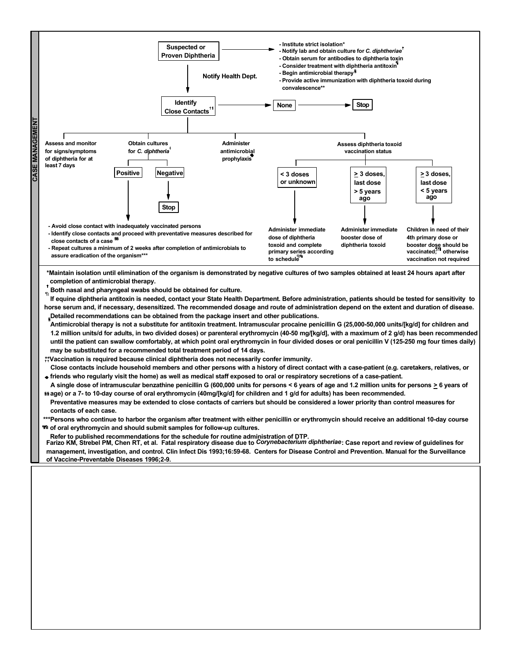